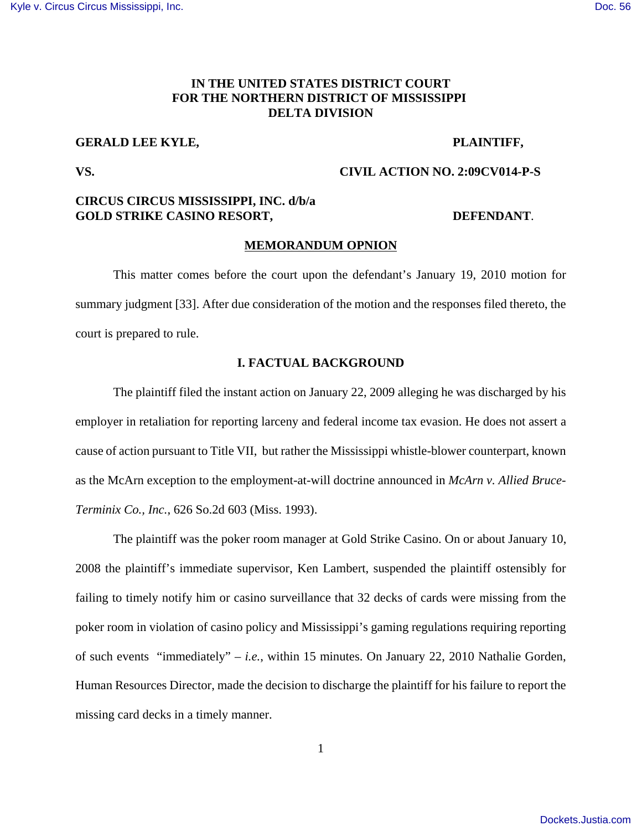# **IN THE UNITED STATES DISTRICT COURT FOR THE NORTHERN DISTRICT OF MISSISSIPPI DELTA DIVISION**

# **GERALD LEE KYLE, THE PLAINTIFF,**

## **VS. CIVIL ACTION NO. 2:09CV014-P-S**

# **CIRCUS CIRCUS MISSISSIPPI, INC. d/b/a GOLD STRIKE CASINO RESORT, SEE ALL SEE ALL SEE ALL SEE ALL SEE ALL SEE ALL SEE ALL SEE ALL SEE ALL SEE ALL SE**

### **MEMORANDUM OPNION**

This matter comes before the court upon the defendant's January 19, 2010 motion for summary judgment [33]. After due consideration of the motion and the responses filed thereto, the court is prepared to rule.

## **I. FACTUAL BACKGROUND**

The plaintiff filed the instant action on January 22, 2009 alleging he was discharged by his employer in retaliation for reporting larceny and federal income tax evasion. He does not assert a cause of action pursuant to Title VII, but rather the Mississippi whistle-blower counterpart, known as the McArn exception to the employment-at-will doctrine announced in *McArn v. Allied Bruce-Terminix Co., Inc.*, 626 So.2d 603 (Miss. 1993).

The plaintiff was the poker room manager at Gold Strike Casino. On or about January 10, 2008 the plaintiff's immediate supervisor, Ken Lambert, suspended the plaintiff ostensibly for failing to timely notify him or casino surveillance that 32 decks of cards were missing from the poker room in violation of casino policy and Mississippi's gaming regulations requiring reporting of such events "immediately" – *i.e.*, within 15 minutes. On January 22, 2010 Nathalie Gorden, Human Resources Director, made the decision to discharge the plaintiff for his failure to report the missing card decks in a timely manner.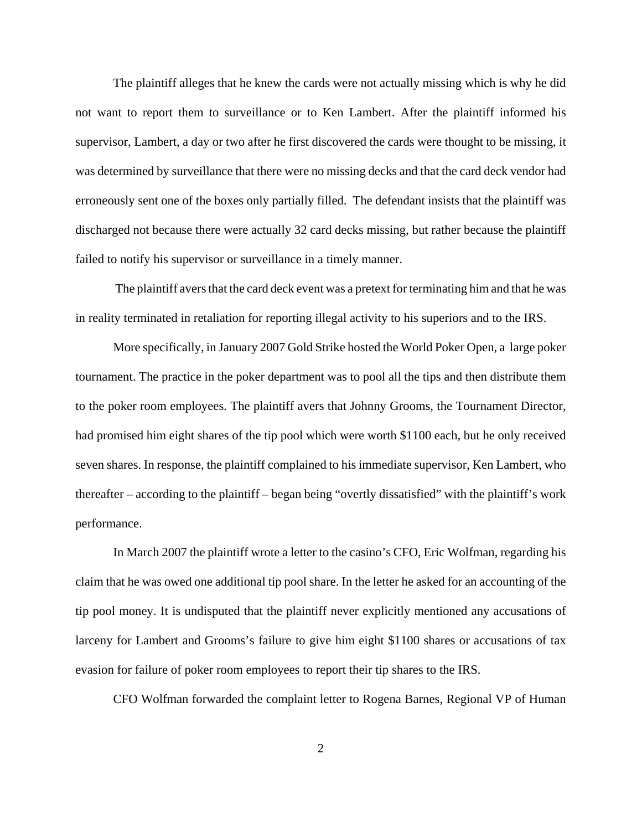The plaintiff alleges that he knew the cards were not actually missing which is why he did not want to report them to surveillance or to Ken Lambert. After the plaintiff informed his supervisor, Lambert, a day or two after he first discovered the cards were thought to be missing, it was determined by surveillance that there were no missing decks and that the card deck vendor had erroneously sent one of the boxes only partially filled. The defendant insists that the plaintiff was discharged not because there were actually 32 card decks missing, but rather because the plaintiff failed to notify his supervisor or surveillance in a timely manner.

 The plaintiff avers that the card deck event was a pretext for terminating him and that he was in reality terminated in retaliation for reporting illegal activity to his superiors and to the IRS.

More specifically, in January 2007 Gold Strike hosted the World Poker Open, a large poker tournament. The practice in the poker department was to pool all the tips and then distribute them to the poker room employees. The plaintiff avers that Johnny Grooms, the Tournament Director, had promised him eight shares of the tip pool which were worth \$1100 each, but he only received seven shares. In response, the plaintiff complained to his immediate supervisor, Ken Lambert, who thereafter – according to the plaintiff – began being "overtly dissatisfied" with the plaintiff's work performance.

In March 2007 the plaintiff wrote a letter to the casino's CFO, Eric Wolfman, regarding his claim that he was owed one additional tip pool share. In the letter he asked for an accounting of the tip pool money. It is undisputed that the plaintiff never explicitly mentioned any accusations of larceny for Lambert and Grooms's failure to give him eight \$1100 shares or accusations of tax evasion for failure of poker room employees to report their tip shares to the IRS.

CFO Wolfman forwarded the complaint letter to Rogena Barnes, Regional VP of Human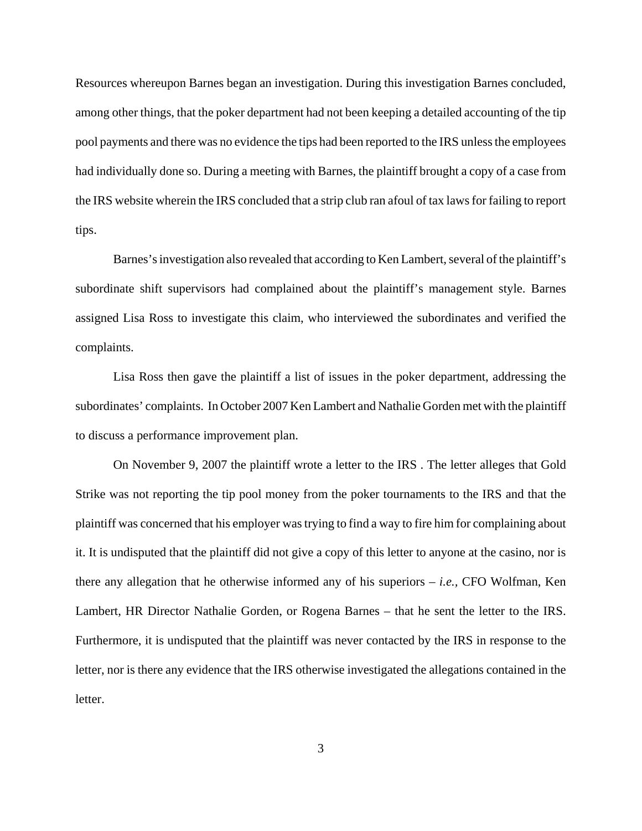Resources whereupon Barnes began an investigation. During this investigation Barnes concluded, among other things, that the poker department had not been keeping a detailed accounting of the tip pool payments and there was no evidence the tips had been reported to the IRS unless the employees had individually done so. During a meeting with Barnes, the plaintiff brought a copy of a case from the IRS website wherein the IRS concluded that a strip club ran afoul of tax laws for failing to report tips.

Barnes's investigation also revealed that according to Ken Lambert, several of the plaintiff's subordinate shift supervisors had complained about the plaintiff's management style. Barnes assigned Lisa Ross to investigate this claim, who interviewed the subordinates and verified the complaints.

Lisa Ross then gave the plaintiff a list of issues in the poker department, addressing the subordinates' complaints. In October 2007 Ken Lambert and Nathalie Gorden met with the plaintiff to discuss a performance improvement plan.

On November 9, 2007 the plaintiff wrote a letter to the IRS . The letter alleges that Gold Strike was not reporting the tip pool money from the poker tournaments to the IRS and that the plaintiff was concerned that his employer was trying to find a way to fire him for complaining about it. It is undisputed that the plaintiff did not give a copy of this letter to anyone at the casino, nor is there any allegation that he otherwise informed any of his superiors – *i.e.,* CFO Wolfman, Ken Lambert, HR Director Nathalie Gorden, or Rogena Barnes – that he sent the letter to the IRS. Furthermore, it is undisputed that the plaintiff was never contacted by the IRS in response to the letter, nor is there any evidence that the IRS otherwise investigated the allegations contained in the letter.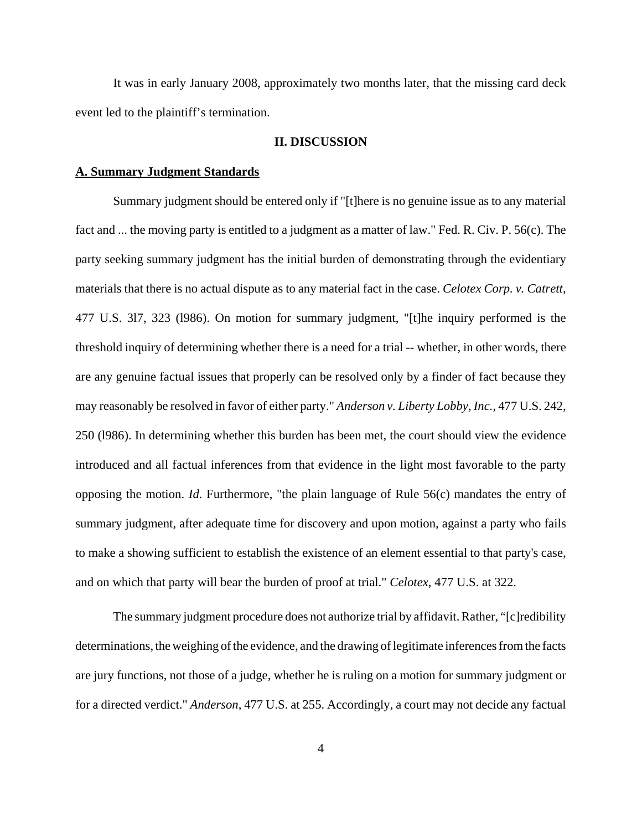It was in early January 2008, approximately two months later, that the missing card deck event led to the plaintiff's termination.

#### **II. DISCUSSION**

#### **A. Summary Judgment Standards**

Summary judgment should be entered only if "[t]here is no genuine issue as to any material fact and ... the moving party is entitled to a judgment as a matter of law." Fed. R. Civ. P. 56(c). The party seeking summary judgment has the initial burden of demonstrating through the evidentiary materials that there is no actual dispute as to any material fact in the case. *Celotex Corp. v. Catrett*, 477 U.S. 3l7, 323 (l986). On motion for summary judgment, "[t]he inquiry performed is the threshold inquiry of determining whether there is a need for a trial -- whether, in other words, there are any genuine factual issues that properly can be resolved only by a finder of fact because they may reasonably be resolved in favor of either party." *Anderson v. Liberty Lobby, Inc.*, 477 U.S. 242, 250 (l986). In determining whether this burden has been met, the court should view the evidence introduced and all factual inferences from that evidence in the light most favorable to the party opposing the motion. *Id*. Furthermore, "the plain language of Rule 56(c) mandates the entry of summary judgment, after adequate time for discovery and upon motion, against a party who fails to make a showing sufficient to establish the existence of an element essential to that party's case, and on which that party will bear the burden of proof at trial." *Celotex*, 477 U.S. at 322.

The summary judgment procedure does not authorize trial by affidavit. Rather, "[c]redibility determinations, the weighing of the evidence, and the drawing of legitimate inferences from the facts are jury functions, not those of a judge, whether he is ruling on a motion for summary judgment or for a directed verdict." *Anderson*, 477 U.S. at 255. Accordingly, a court may not decide any factual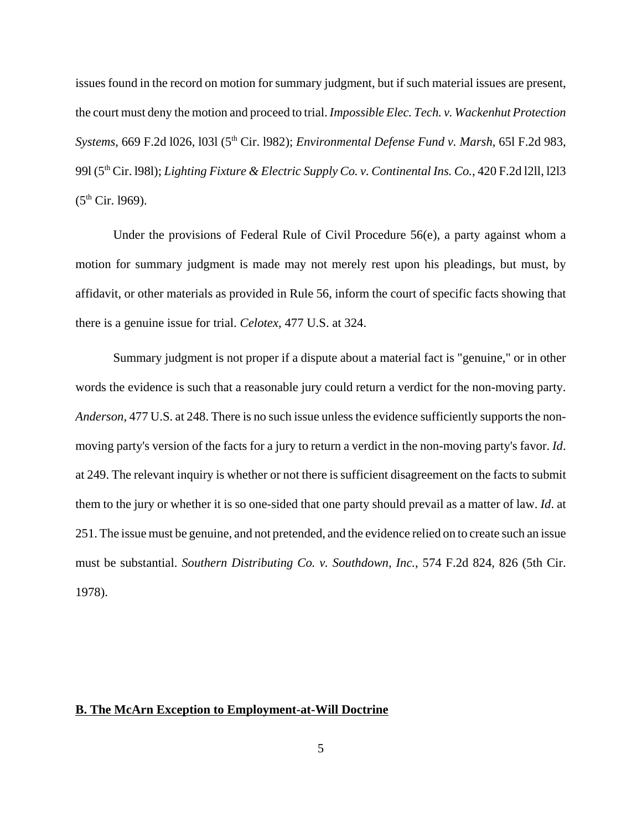issues found in the record on motion for summary judgment, but if such material issues are present, the court must deny the motion and proceed to trial. *Impossible Elec. Tech. v. Wackenhut Protection Systems*, 669 F.2d l026, l03l (5th Cir. l982); *Environmental Defense Fund v. Marsh*, 65l F.2d 983, 99l (5th Cir. l98l); *Lighting Fixture & Electric Supply Co. v. Continental Ins. Co.*, 420 F.2d l2ll, l2l3  $(5<sup>th</sup> Cir. 1969)$ .

Under the provisions of Federal Rule of Civil Procedure 56(e), a party against whom a motion for summary judgment is made may not merely rest upon his pleadings, but must, by affidavit, or other materials as provided in Rule 56, inform the court of specific facts showing that there is a genuine issue for trial. *Celotex*, 477 U.S. at 324.

Summary judgment is not proper if a dispute about a material fact is "genuine," or in other words the evidence is such that a reasonable jury could return a verdict for the non-moving party. *Anderson*, 477 U.S. at 248. There is no such issue unless the evidence sufficiently supports the nonmoving party's version of the facts for a jury to return a verdict in the non-moving party's favor. *Id*. at 249. The relevant inquiry is whether or not there is sufficient disagreement on the facts to submit them to the jury or whether it is so one-sided that one party should prevail as a matter of law. *Id*. at 251. The issue must be genuine, and not pretended, and the evidence relied on to create such an issue must be substantial. *Southern Distributing Co. v. Southdown, Inc.*, 574 F.2d 824, 826 (5th Cir. 1978).

### **B. The McArn Exception to Employment-at-Will Doctrine**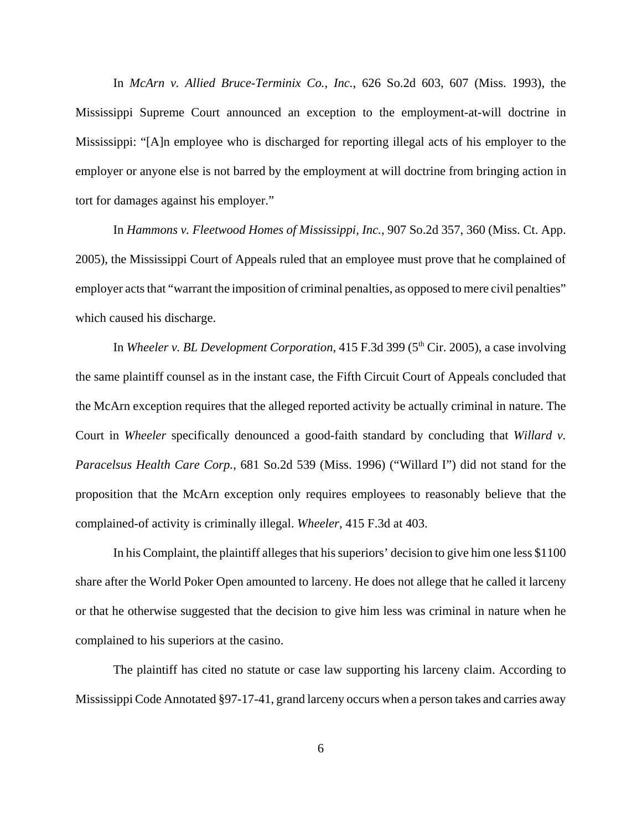In *McArn v. Allied Bruce-Terminix Co., Inc.*, 626 So.2d 603, 607 (Miss. 1993), the Mississippi Supreme Court announced an exception to the employment-at-will doctrine in Mississippi: "[A]n employee who is discharged for reporting illegal acts of his employer to the employer or anyone else is not barred by the employment at will doctrine from bringing action in tort for damages against his employer."

In *Hammons v. Fleetwood Homes of Mississippi, Inc.*, 907 So.2d 357, 360 (Miss. Ct. App. 2005), the Mississippi Court of Appeals ruled that an employee must prove that he complained of employer acts that "warrant the imposition of criminal penalties, as opposed to mere civil penalties" which caused his discharge.

In *Wheeler v. BL Development Corporation*, 415 F.3d 399 (5<sup>th</sup> Cir. 2005), a case involving the same plaintiff counsel as in the instant case, the Fifth Circuit Court of Appeals concluded that the McArn exception requires that the alleged reported activity be actually criminal in nature. The Court in *Wheeler* specifically denounced a good-faith standard by concluding that *Willard v. Paracelsus Health Care Corp.*, 681 So.2d 539 (Miss. 1996) ("Willard I") did not stand for the proposition that the McArn exception only requires employees to reasonably believe that the complained-of activity is criminally illegal. *Wheeler*, 415 F.3d at 403.

In his Complaint, the plaintiff alleges that his superiors' decision to give him one less \$1100 share after the World Poker Open amounted to larceny. He does not allege that he called it larceny or that he otherwise suggested that the decision to give him less was criminal in nature when he complained to his superiors at the casino.

The plaintiff has cited no statute or case law supporting his larceny claim. According to Mississippi Code Annotated §97-17-41, grand larceny occurs when a person takes and carries away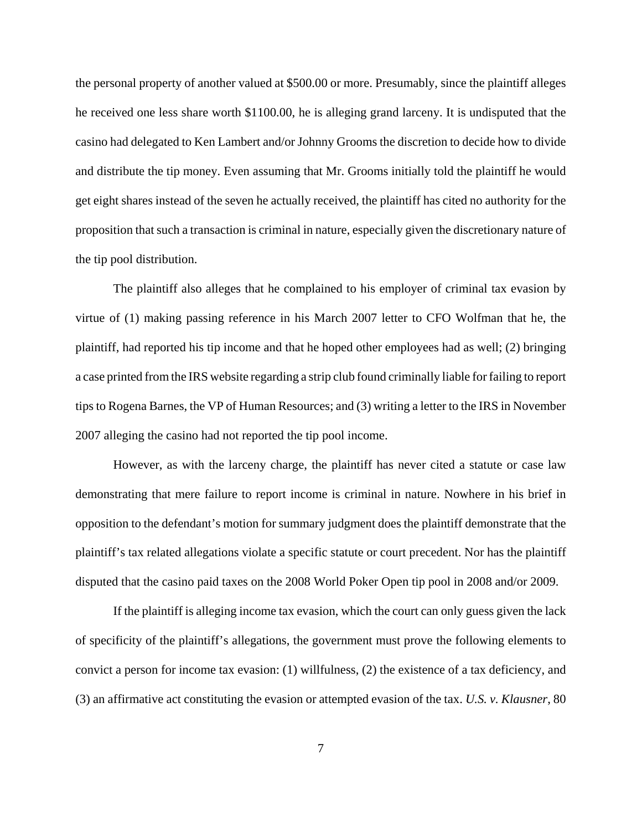the personal property of another valued at \$500.00 or more. Presumably, since the plaintiff alleges he received one less share worth \$1100.00, he is alleging grand larceny. It is undisputed that the casino had delegated to Ken Lambert and/or Johnny Grooms the discretion to decide how to divide and distribute the tip money. Even assuming that Mr. Grooms initially told the plaintiff he would get eight shares instead of the seven he actually received, the plaintiff has cited no authority for the proposition that such a transaction is criminal in nature, especially given the discretionary nature of the tip pool distribution.

The plaintiff also alleges that he complained to his employer of criminal tax evasion by virtue of (1) making passing reference in his March 2007 letter to CFO Wolfman that he, the plaintiff, had reported his tip income and that he hoped other employees had as well; (2) bringing a case printed from the IRS website regarding a strip club found criminally liable for failing to report tips to Rogena Barnes, the VP of Human Resources; and (3) writing a letter to the IRS in November 2007 alleging the casino had not reported the tip pool income.

However, as with the larceny charge, the plaintiff has never cited a statute or case law demonstrating that mere failure to report income is criminal in nature. Nowhere in his brief in opposition to the defendant's motion for summary judgment does the plaintiff demonstrate that the plaintiff's tax related allegations violate a specific statute or court precedent. Nor has the plaintiff disputed that the casino paid taxes on the 2008 World Poker Open tip pool in 2008 and/or 2009.

If the plaintiff is alleging income tax evasion, which the court can only guess given the lack of specificity of the plaintiff's allegations, the government must prove the following elements to convict a person for income tax evasion: (1) willfulness, (2) the existence of a tax deficiency, and (3) an affirmative act constituting the evasion or attempted evasion of the tax. *U.S. v. Klausner*, 80